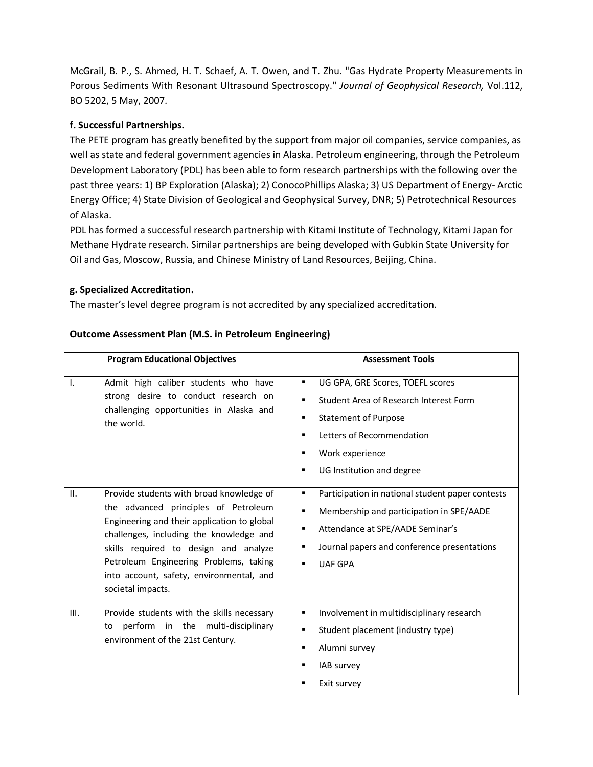McGrail, B. P., S. Ahmed, H. T. Schaef, A. T. Owen, and T. Zhu. "Gas Hydrate Property Measurements in Porous Sediments With Resonant Ultrasound Spectroscopy." *Journal of Geophysical Research,* Vol.112, BO 5202, 5 May, 2007.

## **f. Successful Partnerships.**

The PETE program has greatly benefited by the support from major oil companies, service companies, as well as state and federal government agencies in Alaska. Petroleum engineering, through the Petroleum Development Laboratory (PDL) has been able to form research partnerships with the following over the past three years: 1) BP Exploration (Alaska); 2) ConocoPhillips Alaska; 3) US Department of Energy- Arctic Energy Office; 4) State Division of Geological and Geophysical Survey, DNR; 5) Petrotechnical Resources of Alaska.

PDL has formed a successful research partnership with Kitami Institute of Technology, Kitami Japan for Methane Hydrate research. Similar partnerships are being developed with Gubkin State University for Oil and Gas, Moscow, Russia, and Chinese Ministry of Land Resources, Beijing, China.

## **g. Specialized Accreditation.**

The master's level degree program is not accredited by any specialized accreditation.

| <b>Program Educational Objectives</b>                                                                                                                                                                                                                                                                                                 | <b>Assessment Tools</b>                                                                                                                                                                                               |
|---------------------------------------------------------------------------------------------------------------------------------------------------------------------------------------------------------------------------------------------------------------------------------------------------------------------------------------|-----------------------------------------------------------------------------------------------------------------------------------------------------------------------------------------------------------------------|
| Admit high caliber students who have<br>$\mathbf{I}$ .<br>strong desire to conduct research on<br>challenging opportunities in Alaska and<br>the world.                                                                                                                                                                               | UG GPA, GRE Scores, TOEFL scores<br>Student Area of Research Interest Form<br>٠<br><b>Statement of Purpose</b><br>г<br>Letters of Recommendation<br>Work experience<br>г<br>UG Institution and degree<br>п            |
| II.<br>Provide students with broad knowledge of<br>the advanced principles of Petroleum<br>Engineering and their application to global<br>challenges, including the knowledge and<br>skills required to design and analyze<br>Petroleum Engineering Problems, taking<br>into account, safety, environmental, and<br>societal impacts. | Participation in national student paper contests<br>٠<br>Membership and participation in SPE/AADE<br>п<br>Attendance at SPE/AADE Seminar's<br>٠<br>Journal papers and conference presentations<br>г<br><b>UAF GPA</b> |
| Provide students with the skills necessary<br>III.<br>perform in the multi-disciplinary<br>to<br>environment of the 21st Century.                                                                                                                                                                                                     | Involvement in multidisciplinary research<br>٠<br>Student placement (industry type)<br>٠<br>Alumni survey<br>п<br><b>IAB</b> survey<br>Exit survey                                                                    |

## **Outcome Assessment Plan (M.S. in Petroleum Engineering)**